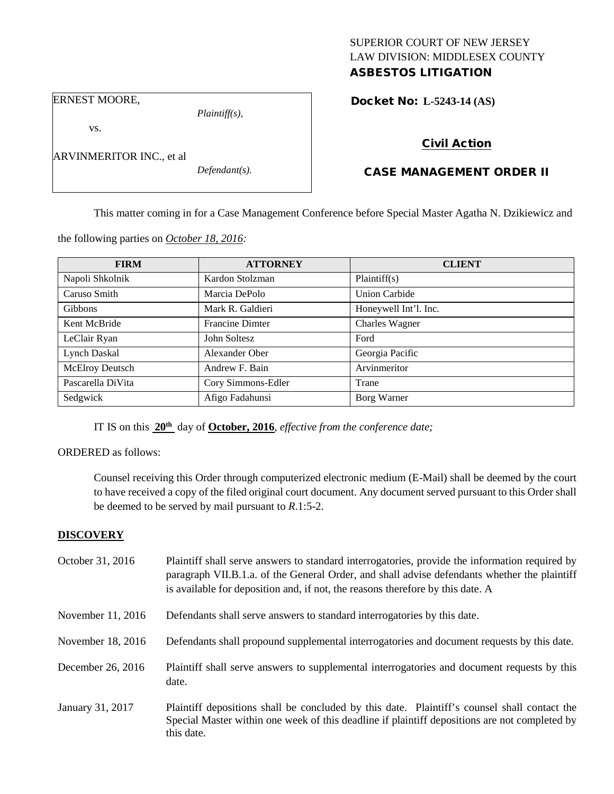# SUPERIOR COURT OF NEW JERSEY LAW DIVISION: MIDDLESEX COUNTY ASBESTOS LITIGATION

Docket No: **L-5243-14 (AS)** 

ERNEST MOORE,

vs.

ARVINMERITOR INC., et al

*Plaintiff(s),*

*Defendant(s).*

Civil Action

# CASE MANAGEMENT ORDER II

This matter coming in for a Case Management Conference before Special Master Agatha N. Dzikiewicz and

the following parties on *October 18, 2016:*

| <b>FIRM</b>       | <b>ATTORNEY</b>        | <b>CLIENT</b>         |
|-------------------|------------------------|-----------------------|
| Napoli Shkolnik   | Kardon Stolzman        | Plaintiff(s)          |
| Caruso Smith      | Marcia DePolo          | <b>Union Carbide</b>  |
| Gibbons           | Mark R. Galdieri       | Honeywell Int'l. Inc. |
| Kent McBride      | <b>Francine Dimter</b> | Charles Wagner        |
| LeClair Ryan      | John Soltesz           | Ford                  |
| Lynch Daskal      | Alexander Ober         | Georgia Pacific       |
| McElroy Deutsch   | Andrew F. Bain         | Arvinmeritor          |
| Pascarella DiVita | Cory Simmons-Edler     | Trane                 |
| Sedgwick          | Afigo Fadahunsi        | Borg Warner           |

IT IS on this **20th** day of **October, 2016**, *effective from the conference date;*

ORDERED as follows:

Counsel receiving this Order through computerized electronic medium (E-Mail) shall be deemed by the court to have received a copy of the filed original court document. Any document served pursuant to this Order shall be deemed to be served by mail pursuant to *R*.1:5-2.

# **DISCOVERY**

| October 31, 2016  | Plaintiff shall serve answers to standard interrogatories, provide the information required by<br>paragraph VII.B.1.a. of the General Order, and shall advise defendants whether the plaintiff<br>is available for deposition and, if not, the reasons therefore by this date. A |
|-------------------|----------------------------------------------------------------------------------------------------------------------------------------------------------------------------------------------------------------------------------------------------------------------------------|
| November 11, 2016 | Defendants shall serve answers to standard interrogatories by this date.                                                                                                                                                                                                         |
| November 18, 2016 | Defendants shall propound supplemental interrogatories and document requests by this date.                                                                                                                                                                                       |
| December 26, 2016 | Plaintiff shall serve answers to supplemental interrogatories and document requests by this<br>date.                                                                                                                                                                             |
| January 31, 2017  | Plaintiff depositions shall be concluded by this date. Plaintiff's counsel shall contact the<br>Special Master within one week of this deadline if plaintiff depositions are not completed by<br>this date.                                                                      |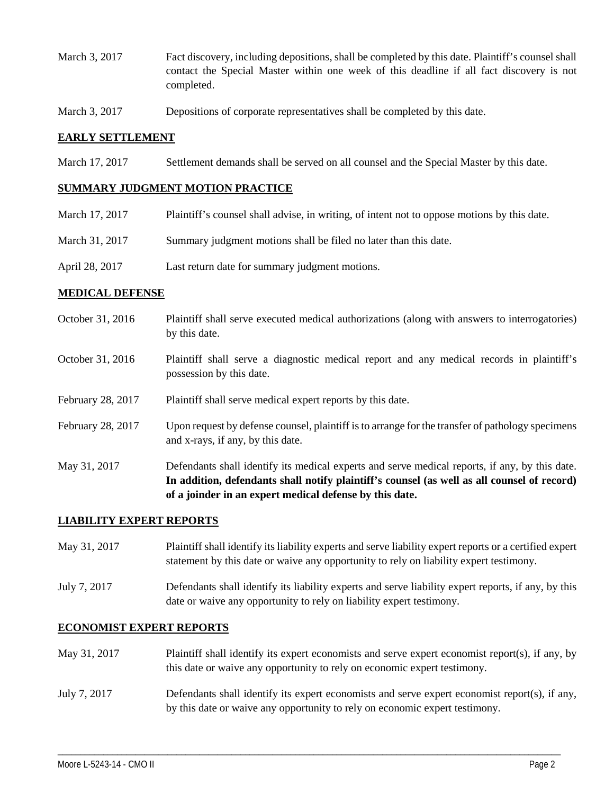- March 3, 2017 Fact discovery, including depositions, shall be completed by this date. Plaintiff's counsel shall contact the Special Master within one week of this deadline if all fact discovery is not completed.
- March 3, 2017 Depositions of corporate representatives shall be completed by this date.

### **EARLY SETTLEMENT**

March 17, 2017 Settlement demands shall be served on all counsel and the Special Master by this date.

#### **SUMMARY JUDGMENT MOTION PRACTICE**

| March 17, 2017 | Plaintiff's counsel shall advise, in writing, of intent not to oppose motions by this date. |
|----------------|---------------------------------------------------------------------------------------------|
| March 31. 2017 | Summary judgment motions shall be filed no later than this date.                            |
| April 28, 2017 | Last return date for summary judgment motions.                                              |

#### **MEDICAL DEFENSE**

- October 31, 2016 Plaintiff shall serve executed medical authorizations (along with answers to interrogatories) by this date.
- October 31, 2016 Plaintiff shall serve a diagnostic medical report and any medical records in plaintiff's possession by this date.
- February 28, 2017 Plaintiff shall serve medical expert reports by this date.
- February 28, 2017 Upon request by defense counsel, plaintiff is to arrange for the transfer of pathology specimens and x-rays, if any, by this date.
- May 31, 2017 Defendants shall identify its medical experts and serve medical reports, if any, by this date. **In addition, defendants shall notify plaintiff's counsel (as well as all counsel of record) of a joinder in an expert medical defense by this date.**

# **LIABILITY EXPERT REPORTS**

- May 31, 2017 Plaintiff shall identify its liability experts and serve liability expert reports or a certified expert statement by this date or waive any opportunity to rely on liability expert testimony.
- July 7, 2017 Defendants shall identify its liability experts and serve liability expert reports, if any, by this date or waive any opportunity to rely on liability expert testimony.

#### **ECONOMIST EXPERT REPORTS**

- May 31, 2017 Plaintiff shall identify its expert economists and serve expert economist report(s), if any, by this date or waive any opportunity to rely on economic expert testimony.
- July 7, 2017 Defendants shall identify its expert economists and serve expert economist report(s), if any, by this date or waive any opportunity to rely on economic expert testimony.

\_\_\_\_\_\_\_\_\_\_\_\_\_\_\_\_\_\_\_\_\_\_\_\_\_\_\_\_\_\_\_\_\_\_\_\_\_\_\_\_\_\_\_\_\_\_\_\_\_\_\_\_\_\_\_\_\_\_\_\_\_\_\_\_\_\_\_\_\_\_\_\_\_\_\_\_\_\_\_\_\_\_\_\_\_\_\_\_\_\_\_\_\_\_\_\_\_\_\_\_\_\_\_\_\_\_\_\_\_\_